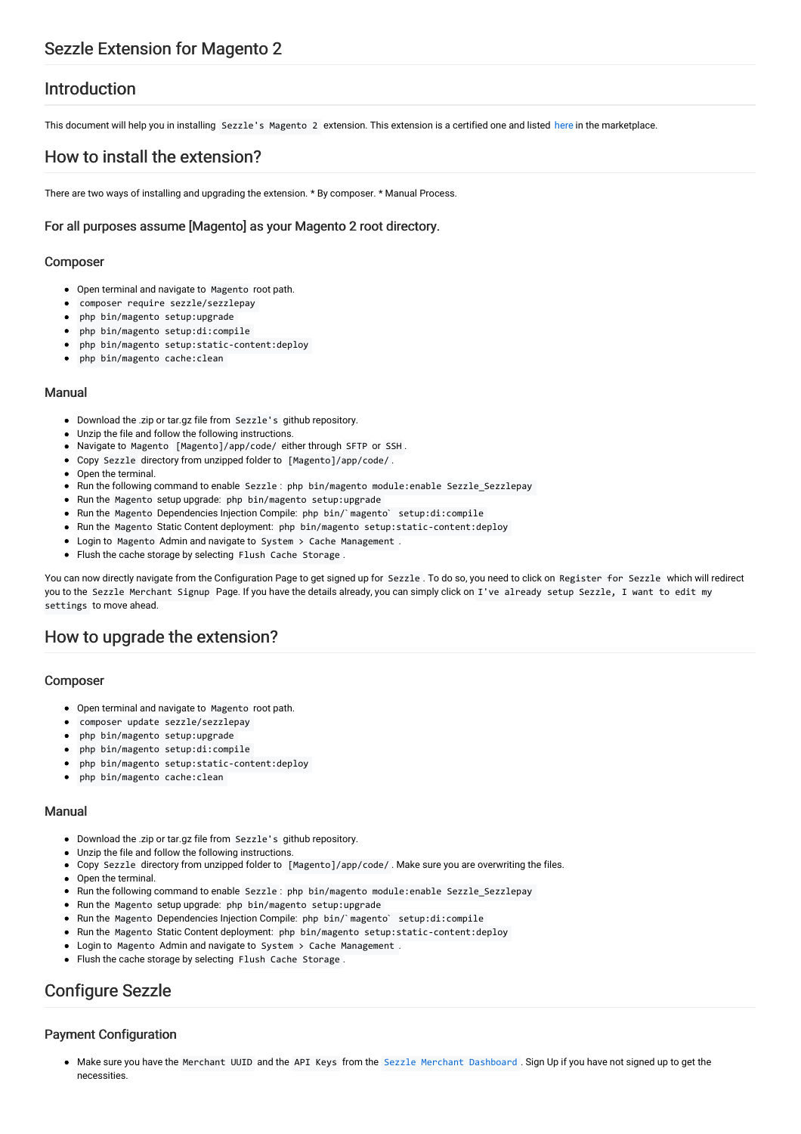### Introduction

This document will help you in installing Sezzle's Magento 2 extension. This extension is a certified one and listed [here](https://marketplace.magento.com/sezzle-sezzle.html) in the marketplace.

### How to install the extension?

There are two ways of installing and upgrading the extension. \* By composer. \* Manual Process.

### For all purposes assume [Magento] as your Magento 2 root directory.

#### Composer

- Open terminal and navigate to Magento root path.
- composer require sezzle/sezzlepay
- php bin/magento setup:upgrade
- php bin/magento setup:di:compile
- php bin/magento setup:static-content:deploy
- php bin/magento cache:clean

#### Manual

- Download the .zip or tar.gz file from Sezzle's github repository.
- Unzip the file and follow the following instructions.
- Navigate to Magento [Magento]/app/code/ either through SFTP or SSH .
- Copy Sezzle directory from unzipped folder to [Magento]/app/code/ .
- Open the terminal
- Run the following command to enable Sezzle : php bin/magento module: enable Sezzle\_Sezzlepay
- Run the Magento setup upgrade: php bin/magento setup:upgrade
- Run the Magento Dependencies Injection Compile: php bin/`magento` setup:di:compile
- Run the Magento Static Content deployment: php bin/magento setup: static-content: deploy
- Login to Magento Admin and navigate to System > Cache Management .
- Flush the cache storage by selecting Flush Cache Storage .

You can now directly navigate from the Configuration Page to get signed up for Sezzle . To do so, you need to click on Register for Sezzle which will redirect you to the Sezzle Merchant Signup Page. If you have the details already, you can simply click on I've already setup Sezzle, I want to edit my settings to move ahead.

### How to upgrade the extension?

#### Composer

- Open terminal and navigate to Magento root path.
- composer update sezzle/sezzlepay
- php bin/magento setup:upgrade
- php bin/magento setup:di:compile
- php bin/magento setup:static-content:deploy
- php bin/magento cache:clean

#### Manual

- Download the .zip or tar.gz file from Sezzle's github repository.
- Unzip the file and follow the following instructions.
- Copy Sezzle directory from unzipped folder to [Magento]/app/code/ . Make sure you are overwriting the files.
- Open the terminal.
- Run the following command to enable Sezzle : php bin/magento module: enable Sezzle\_Sezzlepay
- Run the Magento setup upgrade: php bin/magento setup:upgrade
- Run the Magento Dependencies Injection Compile: php bin/`magento` setup:di:compile
- Run the Magento Static Content deployment: php bin/magento setup:static-content:deploy
- Login to Magento Admin and navigate to System > Cache Management .
- Flush the cache storage by selecting Flush Cache Storage .

# Configure Sezzle

### Payment Configuration

• Make sure you have the Merchant UUID and the API Keys from the Sezzle Merchant [Dashboard](https://dashboard.sezzle.com/merchant/) . Sign Up if you have not signed up to get the necessities.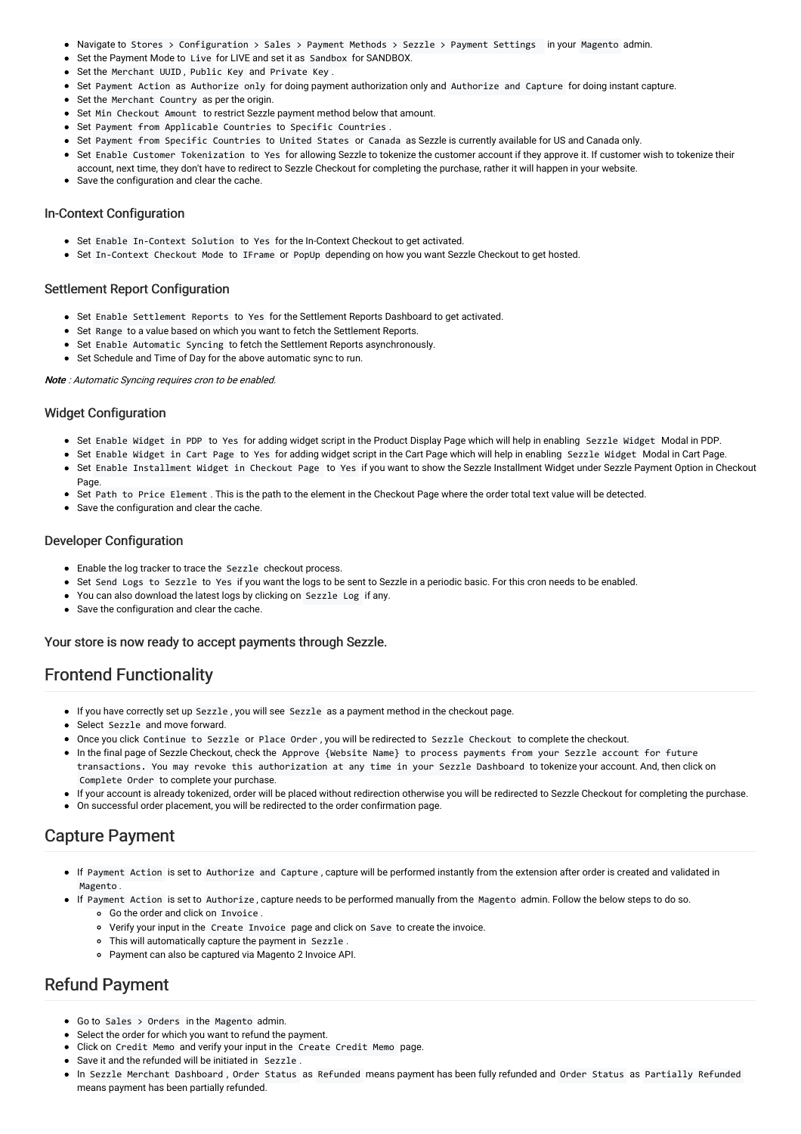- Navigate to Stores > Configuration > Sales > Payment Methods > Sezzle > Payment Settings in your Magento admin.
- Set the Payment Mode to Live for LIVE and set it as Sandbox for SANDBOX.
- Set the Merchant UUID , Public Key and Private Key .
- Set Payment Action as Authorize only for doing payment authorization only and Authorize and Capture for doing instant capture.
- Set the Merchant Country as per the origin.
- Set Min Checkout Amount to restrict Sezzle payment method below that amount.
- Set Payment from Applicable Countries to Specific Countries .
- Set Payment from Specific Countries to United States or Canada as Sezzle is currently available for US and Canada only.
- Set Enable Customer Tokenization to Yes for allowing Sezzle to tokenize the customer account if they approve it. If customer wish to tokenize their
- account, next time, they don't have to redirect to Sezzle Checkout for completing the purchase, rather it will happen in your website.
- Save the configuration and clear the cache.

### In-Context Configuration

- Set Enable In-Context Solution to Yes for the In-Context Checkout to get activated.
- Set In-Context Checkout Mode to IFrame or PopUp depending on how you want Sezzle Checkout to get hosted.

### Settlement Report Configuration

- Set Enable Settlement Reports to Yes for the Settlement Reports Dashboard to get activated.
- Set Range to a value based on which you want to fetch the Settlement Reports.
- Set Enable Automatic Syncing to fetch the Settlement Reports asynchronously.
- Set Schedule and Time of Day for the above automatic sync to run.

#### Note : Automatic Syncing requires cron to be enabled.

#### Widget Configuration

- Set Enable Widget in PDP to Yes for adding widget script in the Product Display Page which will help in enabling Sezzle Widget Modal in PDP.
- Set Enable Widget in Cart Page to Yes for adding widget script in the Cart Page which will help in enabling Sezzle Widget Modal in Cart Page. Set Enable Installment Widget in Checkout Page to Yes if you want to show the Sezzle Installment Widget under Sezzle Payment Option in Checkout
- Page • Set Path to Price Element. This is the path to the element in the Checkout Page where the order total text value will be detected.
- Save the configuration and clear the cache.

#### Developer Configuration

- Enable the log tracker to trace the Sezzle checkout process.
- Set Send Logs to Sezzle to Yes if you want the logs to be sent to Sezzle in a periodic basic. For this cron needs to be enabled.
- You can also download the latest logs by clicking on Sezzle Log if any.
- Save the configuration and clear the cache.

#### Your store is now ready to accept payments through Sezzle.

### Frontend Functionality

- If you have correctly set up Sezzle , you will see Sezzle as a payment method in the checkout page.
- Select Sezzle and move forward.
- Once you click Continue to Sezzle or Place Order , you will be redirected to Sezzle Checkout to complete the checkout.
- In the final page of Sezzle Checkout, check the Approve {Website Name} to process payments from your Sezzle account for future transactions. You may revoke this authorization at any time in your Sezzle Dashboard to tokenize your account. And, then click on Complete Order to complete your purchase.
- If your account is already tokenized, order will be placed without redirection otherwise you will be redirected to Sezzle Checkout for completing the purchase.
- On successful order placement, you will be redirected to the order confirmation page.

### Capture Payment

- If Payment Action is set to Authorize and Capture , capture will be performed instantly from the extension after order is created and validated in Magento .
- If Payment Action is set to Authorize , capture needs to be performed manually from the Magento admin. Follow the below steps to do so. Go the order and click on Invoice .
	-
	- Verify your input in the Create Invoice page and click on Save to create the invoice. This will automatically capture the payment in Sezzle .
	- Payment can also be captured via Magento 2 Invoice API.

### Refund Payment

- Go to Sales > Orders in the Magento admin.
- Select the order for which you want to refund the payment.
- Click on Credit Memo and verify your input in the Create Credit Memo page.
- Save it and the refunded will be initiated in Sezzle .
- In Sezzle Merchant Dashboard , Order Status as Refunded means payment has been fully refunded and Order Status as Partially Refunded means payment has been partially refunded.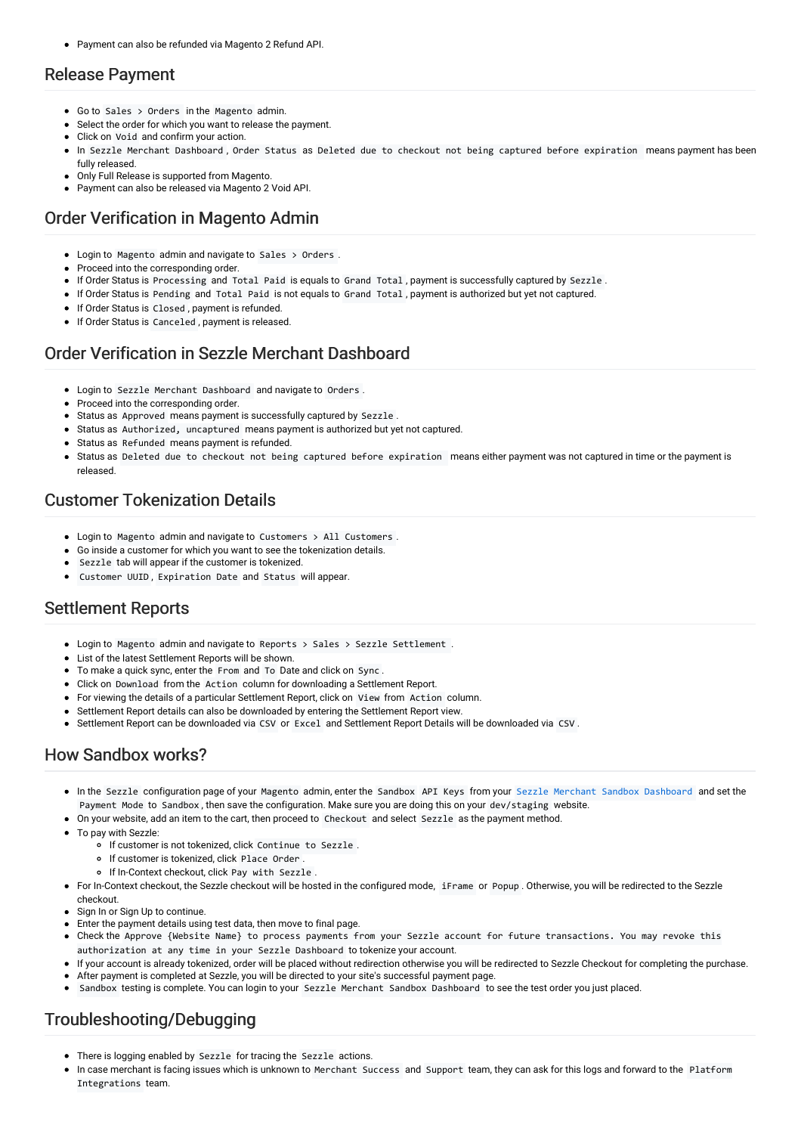Payment can also be refunded via Magento 2 Refund API.

### Release Payment

- Go to Sales > Orders in the Magento admin.
- Select the order for which you want to release the payment.
- Click on Void and confirm your action.
- In Sezzle Merchant Dashboard , Order Status as Deleted due to checkout not being captured before expiration means payment has been fully released.
- Only Full Release is supported from Magento.
- Payment can also be released via Magento 2 Void API.

# Order Verification in Magento Admin

- Login to Magento admin and navigate to Sales > Orders .
- Proceed into the corresponding order.
- If Order Status is Processing and Total Paid is equals to Grand Total , payment is successfully captured by Sezzle .
- If Order Status is Pending and Total Paid is not equals to Grand Total , payment is authorized but yet not captured.
- If Order Status is Closed , payment is refunded.
- **If Order Status is Canceled, payment is released.**

### Order Verification in Sezzle Merchant Dashboard

- Login to Sezzle Merchant Dashboard and navigate to Orders .
- Proceed into the corresponding order.
- Status as Approved means payment is successfully captured by Sezzle .
- Status as Authorized, uncaptured means payment is authorized but yet not captured.
- Status as Refunded means payment is refunded.
- Status as Deleted due to checkout not being captured before expiration means either payment was not captured in time or the payment is released.

### Customer Tokenization Details

- Login to Magento admin and navigate to Customers > All Customers .
- Go inside a customer for which you want to see the tokenization details.
- Sezzle tab will appear if the customer is tokenized.
- Customer UUID , Expiration Date and Status will appear.

# Settlement Reports

- Login to Magento admin and navigate to Reports > Sales > Sezzle Settlement .
- List of the latest Settlement Reports will be shown.
- To make a quick sync, enter the From and To Date and click on Sync .
- Click on Download from the Action column for downloading a Settlement Report.
- For viewing the details of a particular Settlement Report, click on View from Action column.
- Settlement Report details can also be downloaded by entering the Settlement Report view.
- Settlement Report can be downloaded via CSV or Excel and Settlement Report Details will be downloaded via CSV .

# How Sandbox works?

- In the Sezzle configuration page of your Magento admin, enter the Sandbox API Keys from your Sezzle Merchant Sandbox [Dashboard](https://sandbox.dashboard.sezzle.com/merchant/) and set the Payment Mode to Sandbox , then save the configuration. Make sure you are doing this on your dev/staging website.
- On your website, add an item to the cart, then proceed to Checkout and select Sezzle as the payment method.
- To pay with Sezzle:
	- o If customer is not tokenized, click Continue to Sezzle
		- o If customer is tokenized, click Place Order .
		- o If In-Context checkout, click Pay with Sezzle .
- For In-Context checkout, the Sezzle checkout will be hosted in the configured mode, iFrame or Popup . Otherwise, you will be redirected to the Sezzle checkout.
- Sign In or Sign Up to continue.
- Enter the payment details using test data, then move to final page.
- Check the Approve {Website Name} to process payments from your Sezzle account for future transactions. You may revoke this authorization at any time in your Sezzle Dashboard to tokenize your account.
- If your account is already tokenized, order will be placed without redirection otherwise you will be redirected to Sezzle Checkout for completing the purchase. After payment is completed at Sezzle, you will be directed to your site's successful payment page.
- Sandbox testing is complete. You can login to your Sezzle Merchant Sandbox Dashboard to see the test order you just placed.

# Troubleshooting/Debugging

- There is logging enabled by Sezzle for tracing the Sezzle actions.
- In case merchant is facing issues which is unknown to Merchant Success and Support team, they can ask for this logs and forward to the Platform Integrations team.